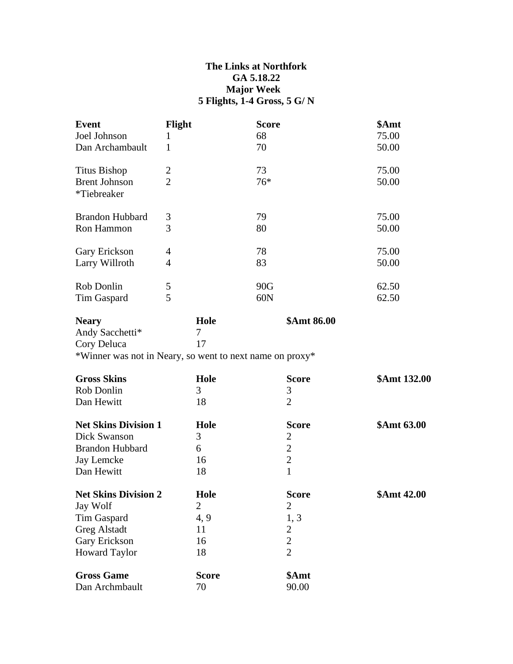## **The Links at Northfork GA 5.18.22 Major Week 5 Flights, 1-4 Gross, 5 G/ N**

| <b>Event</b>                        | Flight         | <b>Score</b>                                             | \$Amt        |
|-------------------------------------|----------------|----------------------------------------------------------|--------------|
| Joel Johnson                        | 1              | 68                                                       | 75.00        |
| Dan Archambault                     | 1              | 70                                                       | 50.00        |
| <b>Titus Bishop</b>                 | $\overline{2}$ | 73                                                       | 75.00        |
| <b>Brent Johnson</b><br>*Tiebreaker | $\overline{2}$ | $76*$                                                    | 50.00        |
| <b>Brandon Hubbard</b>              | 3              | 79                                                       | 75.00        |
| Ron Hammon                          | 3              | 80                                                       | 50.00        |
| Gary Erickson                       | 4              | 78                                                       | 75.00        |
| Larry Willroth                      | $\overline{4}$ | 83                                                       | 50.00        |
| Rob Donlin                          | 5              | 90G                                                      | 62.50        |
| Tim Gaspard                         | 5              | 60N                                                      | 62.50        |
| <b>Neary</b>                        | Hole           | \$Amt 86.00                                              |              |
| Andy Sacchetti*                     | 7              |                                                          |              |
| Cory Deluca                         | 17             |                                                          |              |
|                                     |                | *Winner was not in Neary, so went to next name on proxy* |              |
| <b>Gross Skins</b>                  | Hole           | <b>Score</b>                                             | \$Amt 132.00 |
| <b>Rob Donlin</b>                   | 3              | 3                                                        |              |
| Dan Hewitt                          | 18             | $\overline{2}$                                           |              |
| <b>Net Skins Division 1</b>         | Hole           | <b>Score</b>                                             | \$Amt 63.00  |
| Dick Swanson                        | 3              | $\overline{c}$                                           |              |
| <b>Brandon Hubbard</b>              | 6              | $\overline{c}$                                           |              |
| Jay Lemcke                          | 16             | $\overline{2}$                                           |              |
| Dan Hewitt                          | 18             | $\mathbf{1}$                                             |              |
| <b>Net Skins Division 2</b>         | Hole           | <b>Score</b>                                             | \$Amt 42.00  |
| Jay Wolf                            | $\overline{2}$ | $\mathbf{2}$                                             |              |
| <b>Tim Gaspard</b>                  | 4, 9           | 1, 3                                                     |              |
| <b>Greg Alstadt</b>                 | 11             | $\overline{2}$                                           |              |
| Gary Erickson                       | 16             | $\overline{2}$                                           |              |
| <b>Howard Taylor</b>                | 18             | $\overline{2}$                                           |              |
| <b>Gross Game</b>                   | <b>Score</b>   | \$Amt                                                    |              |
| Dan Archmbault                      | 70             | 90.00                                                    |              |